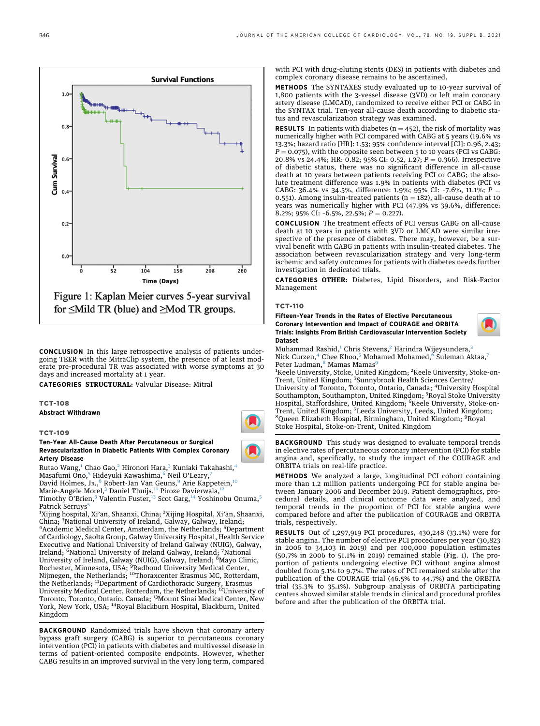$0.6$  $0.4$  $0.2$  $0.0$  $\frac{1}{2}$ 104  $156$  $208$ 260 **Time (Days)** Figure 1: Kaplan Meier curves 5-year survival for  $\leq$ Mild TR (blue) and  $\geq$ Mod TR groups.

**Survival Functions** 

CONCLUSION In this large retrospective analysis of patients undergoing TEER with the MitraClip system, the presence of at least moderate pre-procedural TR was associated with worse symptoms at 30 days and increased mortality at 1 year.

CATEGORIES STRUCTURAL: Valvular Disease: Mitral

## TCT-108 Abstract Withdrawn

TCT-109

Ten-Year All-Cause Death After Percutaneous or Surgical Revascularization in Diabetic Patients With Complex Coronary Artery Disease

Rutao Wang,<sup>[1](#page-0-0)</sup> Chao Gao,<sup>[2](#page-0-0)</sup> Hironori Hara,<sup>[3](#page-0-1)</sup> Kuniaki Takahashi,<sup>[4](#page-0-1)</sup> Masafumi Ono,<sup>[5](#page-0-2)</sup> Hideyuki Kawashima,<sup>[6](#page-0-3)</sup> Neil O'Leary, David Holmes, JR., <sup>[8](#page-0-4)</sup> Robert-Jan Van Geuns, <sup>[9](#page-0-5)</sup> Arie Kappetein,<sup>[10](#page-0-6)</sup> Marie-Angele Morel,<sup>[3](#page-0-1)</sup> Daniel Thuijs,<sup>[11](#page-0-7)</sup> Piroze Davierwala,<sup>[12](#page-0-8)</sup> Timothy O'Brien,<sup>[3](#page-0-1)</sup> Valentin Fuster,<sup>[13](#page-0-9)</sup> Scot Garg,<sup>[14](#page-0-10)</sup> Yoshinobu Onuma,<sup>[5](#page-0-2)</sup> Patrick Serruys<sup>t</sup>

<span id="page-0-5"></span><span id="page-0-4"></span><span id="page-0-3"></span><span id="page-0-2"></span><span id="page-0-1"></span><span id="page-0-0"></span><sup>1</sup>Xijing hospital, Xi'an, Shaanxi, China; <sup>2</sup>Xijing Hospital, Xi'an, Shaanxi, China; <sup>3</sup>National University of Ireland, Galway, Galway, Ireland;<br><sup>4</sup>Academic Modical Center, Amsterdam, the Netherlands, <sup>5</sup>Denar Academic Medical Center, Amsterdam, the Netherlands; <sup>5</sup>Department of Cardiology, Saolta Group, Galway University Hospital, Health Service Executive and National University of Ireland Galway (NUIG), Galway, Ireland; <sup>6</sup>National University of Ireland Galway, Ireland; <sup>7</sup>National University of Ireland, Galway (NUIG), Galway, Ireland; <sup>8</sup>Mayo Clinic, Rochester, Minnesota, USA; <sup>9</sup>Radboud University Medical Center,<br>Nijmegen, the Netherlands; <sup>10</sup>Thoraxcenter Erasmus MC, Rotterdam, the Netherlands; <sup>11</sup>Department of Cardiothoracic Surgery, Erasmus University Medical Center, Rotterdam, the Netherlands; 12University of Toronto, Toronto, Ontario, Canada; 13Mount Sinai Medical Center, New York, New York, USA; 14Royal Blackburn Hospital, Blackburn, United Kingdom

<span id="page-0-10"></span><span id="page-0-9"></span><span id="page-0-8"></span><span id="page-0-7"></span><span id="page-0-6"></span>BACKGROUND Randomized trials have shown that coronary artery bypass graft surgery (CABG) is superior to percutaneous coronary intervention (PCI) in patients with diabetes and multivessel disease in terms of patient-oriented composite endpoints. However, whether CABG results in an improved survival in the very long term, compared

with PCI with drug-eluting stents (DES) in patients with diabetes and complex coronary disease remains to be ascertained.

METHODS The SYNTAXES study evaluated up to 10-year survival of 1,800 patients with the 3-vessel disease (3VD) or left main coronary artery disease (LMCAD), randomized to receive either PCI or CABG in the SYNTAX trial. Ten-year all-cause death according to diabetic status and revascularization strategy was examined.

**RESULTS** In patients with diabetes ( $n = 452$ ), the risk of mortality was numerically higher with PCI compared with CABG at 5 years (19.6% vs 13.3%; hazard ratio [HR]: 1.53; 95% confidence interval [CI]: 0.96, 2.43;  $P = 0.075$ ), with the opposite seen between 5 to 10 years (PCI vs CABG: 20.8% vs 24.4%; HR: 0.82; 95% CI: 0.52, 1.27;  $P = 0.366$ ). Irrespective of diabetic status, there was no significant difference in all-cause death at 10 years between patients receiving PCI or CABG; the absolute treatment difference was 1.9% in patients with diabetes (PCI vs CABG: 36.4% vs 34.5%, difference: 1.9%; 95% CI: -7.6%, 11.1%;  $P =$ 0.551). Among insulin-treated patients ( $n = 182$ ), all-cause death at 10 years was numerically higher with PCI (47.9% vs 39.6%, difference: 8.2%; 95% CI: -6.5%, 22.5%;  $P = 0.227$ ).

CONCLUSION The treatment effects of PCI versus CABG on all-cause death at 10 years in patients with 3VD or LMCAD were similar irrespective of the presence of diabetes. There may, however, be a survival benefit with CABG in patients with insulin-treated diabetes. The association between revascularization strategy and very long-term ischemic and safety outcomes for patients with diabetes needs further investigation in dedicated trials.

CATEGORIES OTHER: Diabetes, Lipid Disorders, and Risk-Factor Management

# TCT-110

Fifteen-Year Trends in the Rates of Elective Percutaneous Coronary Intervention and Impact of COURAGE and ORBITA Trials: Insights From British Cardiovascular Intervention Society Dataset



Muhammad Rashid,<sup>[1](#page-0-11)</sup> Chris Stevens,<sup>[2](#page-0-11)</sup> Harindra Wijeysundera,<sup>[3](#page-0-12)</sup> Nick Curzen,<sup>[4](#page-0-13)</sup> Chee Khoo,<sup>[5](#page-0-14)</sup> Mohamed Mohamed,<sup>[6](#page-0-15)</sup> Suleman Aktaa,<sup>[7](#page-0-16)</sup> Peter Ludman,<sup>[8](#page-0-16)</sup> Mamas Mamas<sup>[9](#page-0-17)</sup>

<span id="page-0-15"></span><span id="page-0-14"></span><span id="page-0-13"></span><span id="page-0-12"></span><span id="page-0-11"></span><sup>1</sup>Keele University, Stoke, United Kingdom; <sup>2</sup>Keele University, Stoke-on-Trent, United Kingdom; <sup>3</sup>Sunnybrook Health Sciences Centre/ University of Toronto, Toronto, Ontario, Canada; <sup>4</sup> University Hospital Southampton, Southampton, United Kingdom; <sup>5</sup>Royal Stoke University Hospital, Staffordshire, United Kingdom; <sup>6</sup>Keele University, Stoke-on-Trent, United Kingdom; <sup>7</sup>Leeds University, Leeds, United Kingdom;<br><sup>8</sup>Oueen Flizzbeth Hospital, Birmingham, United Kingdom; <sup>9</sup>Boyal Queen Elizabeth Hospital, Birmingham, United Kingdom; <sup>9</sup>Royal Stoke Hospital, Stoke-on-Trent, United Kingdom

<span id="page-0-17"></span><span id="page-0-16"></span>**BACKGROUND** This study was designed to evaluate temporal trends in elective rates of percutaneous coronary intervention (PCI) for stable angina and, specifically, to study the impact of the COURAGE and ORBITA trials on real-life practice.

METHODS We analyzed a large, longitudinal PCI cohort containing more than 1.2 million patients undergoing PCI for stable angina between January 2006 and December 2019. Patient demographics, procedural details, and clinical outcome data were analyzed, and temporal trends in the proportion of PCI for stable angina were compared before and after the publication of COURAGE and ORBITA trials, respectively.

RESULTS Out of 1,297,919 PCI procedures, 430,248 (33.1%) were for stable angina. The number of elective PCI procedures per year (30,823 in 2006 to 34,103 in 2019) and per 100,000 population estimates (50.7% in 2006 to 51.1% in 2019) remained stable (Fig. 1). The proportion of patients undergoing elective PCI without angina almost doubled from 5.1% to 9.7%. The rates of PCI remained stable after the publication of the COURAGE trial (46.5% to 44.7%) and the ORBITA trial (35.3% to 35.1%). Subgroup analysis of ORBITA participating centers showed similar stable trends in clinical and procedural profiles before and after the publication of the ORBITA trial.

 $0.8$ 

Cum Surviva